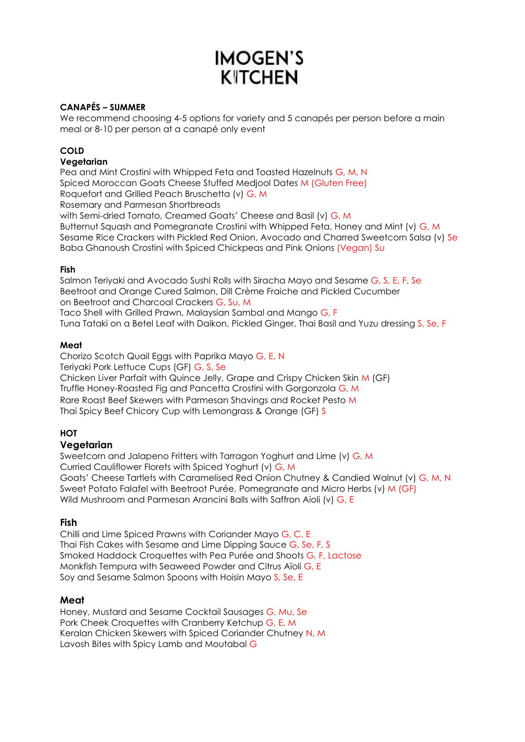# **IMOGEN'S KITCHEN**

# **CANAPÉS – SUMMER**

We recommend choosing 4-5 options for variety and 5 canapés per person before a main meal or 8-10 per person at a canapé only event

## **COLD**

## **Vegetarian**

Pea and Mint Crostini with Whipped Feta and Toasted Hazelnuts G, M, N Spiced Moroccan Goats Cheese Stuffed Medjool Dates M (Gluten Free) Roquefort and Grilled Peach Bruschetta (v) G, M Rosemary and Parmesan Shortbreads with Semi-dried Tomato, Creamed Goats' Cheese and Basil (v) G, M Butternut Squash and Pomegranate Crostini with Whipped Feta, Honey and Mint (v) G, M Sesame Rice Crackers with Pickled Red Onion, Avocado and Charred Sweetcorn Salsa (v) Se Baba Ghanoush Crostini with Spiced Chickpeas and Pink Onions (Vegan) Su

### **Fish**

Salmon Teriyaki and Avocado Sushi Rolls with Siracha Mayo and Sesame G, S, E, F, Se Beetroot and Orange Cured Salmon, Dill Crème Fraiche and Pickled Cucumber on Beetroot and Charcoal Crackers G, Su, M Taco Shell with Grilled Prawn, Malaysian Sambal and Mango G, F Tuna Tataki on a Betel Leaf with Daikon, Pickled Ginger, Thai Basil and Yuzu dressing S, Se, F

### **Meat**

Chorizo Scotch Quail Eggs with Paprika Mayo G, E, N Teriyaki Pork Lettuce Cups (GF) G, S, Se Chicken Liver Parfait with Quince Jelly, Grape and Crispy Chicken Skin M (GF) Truffle Honey-Roasted Fig and Pancetta Crostini with Gorgonzola G, M Rare Roast Beef Skewers with Parmesan Shavings and Rocket Pesto M Thai Spicy Beef Chicory Cup with Lemongrass & Orange (GF) S

# **HOT**

## **Vegetarian**

Sweetcorn and Jalapeno Fritters with Tarragon Yoghurt and Lime (v) G, M Curried Cauliflower Florets with Spiced Yoghurt (v) G, M Goats' Cheese Tartlets with Caramelised Red Onion Chutney & Candied Walnut (v) G, M, N Sweet Potato Falafel with Beetroot Purée, Pomegranate and Micro Herbs (v) M (GF) Wild Mushroom and Parmesan Arancini Balls with Saffron Aioli (v) G, E

## **Fish**

Chilli and Lime Spiced Prawns with Coriander Mayo G, C, E Thai Fish Cakes with Sesame and Lime Dipping Sauce G, Se, F, S Smoked Haddock Croquettes with Pea Purée and Shoots G, F, Lactose Monkfish Tempura with Seaweed Powder and Citrus Aïoli G, E Soy and Sesame Salmon Spoons with Hoisin Mayo S, Se, E

## **Meat**

Honey, Mustard and Sesame Cocktail Sausages G, Mu, Se Pork Cheek Croquettes with Cranberry Ketchup G, E, M Keralan Chicken Skewers with Spiced Coriander Chutney N, M Lavosh Bites with Spicy Lamb and Moutabal G